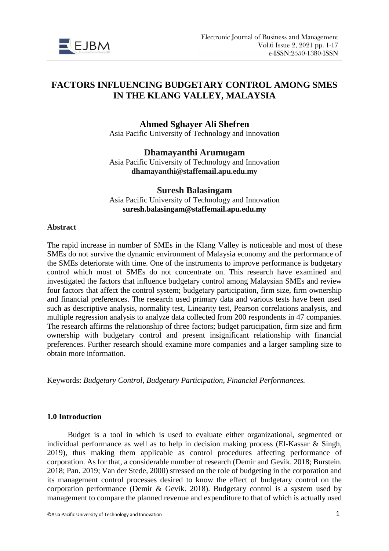

# **FACTORS INFLUENCING BUDGETARY CONTROL AMONG SMES IN THE KLANG VALLEY, MALAYSIA**

# **Ahmed Sghayer Ali Shefren**

Asia Pacific University of Technology and Innovation

### **Dhamayanthi Arumugam** Asia Pacific University of Technology and Innovation **dhamayanthi@staffemail.apu.edu.my**

**Suresh Balasingam** Asia Pacific University of Technology and Innovation **suresh.balasingam@staffemail.apu.edu.my**

#### **Abstract**

The rapid increase in number of SMEs in the Klang Valley is noticeable and most of these SMEs do not survive the dynamic environment of Malaysia economy and the performance of the SMEs deteriorate with time. One of the instruments to improve performance is budgetary control which most of SMEs do not concentrate on. This research have examined and investigated the factors that influence budgetary control among Malaysian SMEs and review four factors that affect the control system; budgetary participation, firm size, firm ownership and financial preferences. The research used primary data and various tests have been used such as descriptive analysis, normality test, Linearity test, Pearson correlations analysis, and multiple regression analysis to analyze data collected from 200 respondents in 47 companies. The research affirms the relationship of three factors; budget participation, firm size and firm ownership with budgetary control and present insignificant relationship with financial preferences. Further research should examine more companies and a larger sampling size to obtain more information.

Keywords: *Budgetary Control, Budgetary Participation, Financial Performances.*

### **1.0 Introduction**

Budget is a tool in which is used to evaluate either organizational, segmented or individual performance as well as to help in decision making process (El-Kassar & Singh, 2019), thus making them applicable as control procedures affecting performance of corporation. As for that, a considerable number of research (Demir and Gevik. 2018; Burstein. 2018; Pan. 2019; Van der Stede, 2000) stressed on the role of budgeting in the corporation and its management control processes desired to know the effect of budgetary control on the corporation performance (Demir & Gevik. 2018). Budgetary control is a system used by management to compare the planned revenue and expenditure to that of which is actually used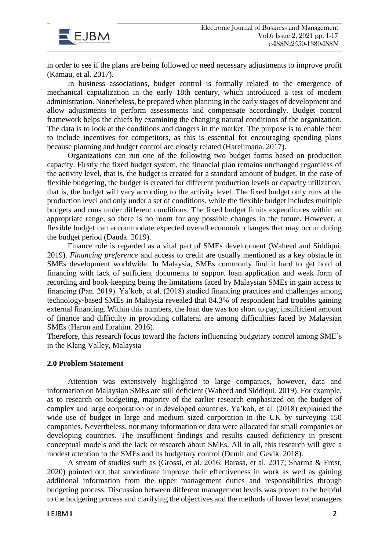

in order to see if the plans are being followed or need necessary adjustments to improve profit (Kamau, et al. 2017).

In business associations, budget control is formally related to the emergence of mechanical capitalization in the early 18th century, which introduced a test of modern administration. Nonetheless, be prepared when planning in the early stages of development and allow adjustments to perform assessments and compensate accordingly. Budget control framework helps the chiefs by examining the changing natural conditions of the organization. The data is to look at the conditions and dangers in the market. The purpose is to enable them to include incentives for competitors, as this is essential for encouraging spending plans because planning and budget control are closely related (Harelimana. 2017).

Organizations can run one of the following two budget forms based on production capacity. Firstly the fixed budget system, the financial plan remains unchanged regardless of the activity level, that is, the budget is created for a standard amount of budget. In the case of flexible budgeting, the budget is created for different production levels or capacity utilization, that is, the budget will vary according to the activity level. The fixed budget only runs at the production level and only under a set of conditions, while the flexible budget includes multiple budgets and runs under different conditions. The fixed budget limits expenditures within an appropriate range, so there is no room for any possible changes in the future. However, a flexible budget can accommodate expected overall economic changes that may occur during the budget period (Dauda. 2019).

Finance role is regarded as a vital part of SMEs development (Waheed and Siddiqui. 2019). *Financing preference* and access to credit are usually mentioned as a key obstacle in SMEs development worldwide. In Malaysia, SMEs commonly find it hard to get hold of financing with lack of sufficient documents to support loan application and weak form of recording and book-keeping being the limitations faced by Malaysian SMEs in gain access to financing (Pan. 2019). Ya'kob, et al. (2018) studied financing practices and challenges among technology-based SMEs in Malaysia revealed that 84.3% of respondent had troubles gaining external financing. Within this numbers, the loan due was too short to pay, insufficient amount of finance and difficulty in providing collateral are among difficulties faced by Malaysian SMEs (Haron and Ibrahim. 2016).

Therefore, this research focus toward the factors influencing budgetary control among SME's in the Klang Valley, Malaysia

#### **2.0 Problem Statement**

Attention was extensively highlighted to large companies, however, data and information on Malaysian SMEs are still deficient (Waheed and Siddiqui. 2019). For example, as to research on budgeting, majority of the earlier research emphasized on the budget of complex and large corporation or in developed countries. Ya'kob, et al. (2018) explained the wide use of budget in large and medium sized corporation in the UK by surveying 150 companies. Nevertheless, not many information or data were allocated for small companies or developing countries. The insufficient findings and results caused deficiency in present conceptual models and the lack or research about SMEs. All in all, this research will give a modest attention to the SMEs and its budgetary control (Demir and Gevik. 2018).

A stream of studies such as (Grossi, et al. 2016; Barasa, et al. 2017; Sharma & Frost, 2020) pointed out that subordinate improve their effectiveness in work as well as gaining additional information from the upper management duties and responsibilities through budgeting process. Discussion between different management levels was proven to be helpful to the budgeting process and clarifying the objectives and the methods of lower level managers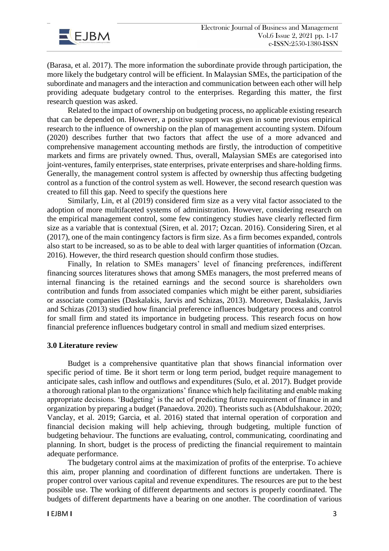

(Barasa, et al. 2017). The more information the subordinate provide through participation, the more likely the budgetary control will be efficient. In Malaysian SMEs, the participation of the subordinate and managers and the interaction and communication between each other will help providing adequate budgetary control to the enterprises. Regarding this matter, the first research question was asked.

Related to the impact of ownership on budgeting process, no applicable existing research that can be depended on. However, a positive support was given in some previous empirical research to the influence of ownership on the plan of management accounting system. Difoum (2020) describes further that two factors that affect the use of a more advanced and comprehensive management accounting methods are firstly, the introduction of competitive markets and firms are privately owned. Thus, overall, Malaysian SMEs are categorised into joint-ventures, family enterprises, state enterprises, private enterprises and share-holding firms. Generally, the management control system is affected by ownership thus affecting budgeting control as a function of the control system as well. However, the second research question was created to fill this gap. Need to specify the questions here

Similarly, Lin, et al (2019) considered firm size as a very vital factor associated to the adoption of more multifaceted systems of administration. However, considering research on the empirical management control, some few contingency studies have clearly reflected firm size as a variable that is contextual (Siren, et al. 2017; Ozcan. 2016). Considering Siren, et al (2017), one of the main contingency factors is firm size. As a firm becomes expanded, controls also start to be increased, so as to be able to deal with larger quantities of information (Ozcan. 2016). However, the third research question should confirm those studies.

Finally, In relation to SMEs managers' level of financing preferences, indifferent financing sources literatures shows that among SMEs managers, the most preferred means of internal financing is the retained earnings and the second source is shareholders own contribution and funds from associated companies which might be either parent, subsidiaries or associate companies (Daskalakis, Jarvis and Schizas, 2013). Moreover, Daskalakis, Jarvis and Schizas (2013) studied how financial preference influences budgetary process and control for small firm and stated its importance in budgeting process. This research focus on how financial preference influences budgetary control in small and medium sized enterprises.

### **3.0 Literature review**

Budget is a comprehensive quantitative plan that shows financial information over specific period of time. Be it short term or long term period, budget require management to anticipate sales, cash inflow and outflows and expenditures (Sulo, et al. 2017). Budget provide a thorough rational plan to the organizations' finance which help facilitating and enable making appropriate decisions. 'Budgeting' is the act of predicting future requirement of finance in and organization by preparing a budget (Panaedova. 2020). Theorists such as (Abdulshakour. 2020; Vanclay, et al. 2019; Garcia, et al. 2016) stated that internal operation of corporation and financial decision making will help achieving, through budgeting, multiple function of budgeting behaviour. The functions are evaluating, control, communicating, coordinating and planning. In short, budget is the process of predicting the financial requirement to maintain adequate performance.

The budgetary control aims at the maximization of profits of the enterprise. To achieve this aim, proper planning and coordination of different functions are undertaken. There is proper control over various capital and revenue expenditures. The resources are put to the best possible use. The working of different departments and sectors is properly coordinated. The budgets of different departments have a bearing on one another. The coordination of various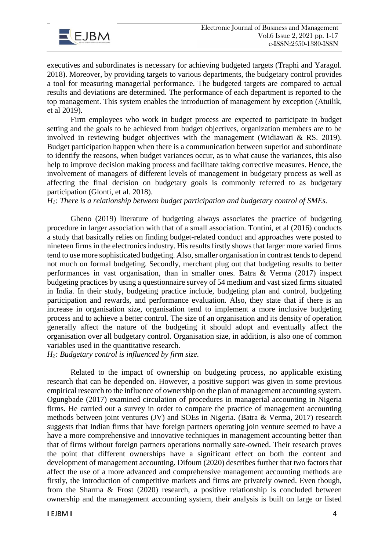



executives and subordinates is necessary for achieving budgeted targets (Traphi and Yaragol. 2018). Moreover, by providing targets to various departments, the budgetary control provides a tool for measuring managerial performance. The budgeted targets are compared to actual results and deviations are determined. The performance of each department is reported to the top management. This system enables the introduction of management by exception (Atuilik, et al 2019).

Firm employees who work in budget process are expected to participate in budget setting and the goals to be achieved from budget objectives, organization members are to be involved in reviewing budget objectives with the management (Widiawati & RS. 2019). Budget participation happen when there is a communication between superior and subordinate to identify the reasons, when budget variances occur, as to what cause the variances, this also help to improve decision making process and facilitate taking corrective measures. Hence, the involvement of managers of different levels of management in budgetary process as well as affecting the final decision on budgetary goals is commonly referred to as budgetary participation (Glonti, et al. 2018).

*H1: There is a relationship between budget participation and budgetary control of SMEs.*

Gheno (2019) literature of budgeting always associates the practice of budgeting procedure in larger association with that of a small association. Tontini, et al (2016) conducts a study that basically relies on finding budget-related conduct and approaches were posted to nineteen firms in the electronics industry. His results firstly shows that larger more varied firms tend to use more sophisticated budgeting. Also, smaller organisation in contrast tends to depend not much on formal budgeting. Secondly, merchant plug out that budgeting results to better performances in vast organisation, than in smaller ones. Batra & Verma (2017) inspect budgeting practices by using a questionnaire survey of 54 medium and vast sized firms situated in India. In their study, budgeting practice include, budgeting plan and control, budgeting participation and rewards, and performance evaluation. Also, they state that if there is an increase in organisation size, organisation tend to implement a more inclusive budgeting process and to achieve a better control. The size of an organisation and its density of operation generally affect the nature of the budgeting it should adopt and eventually affect the organisation over all budgetary control. Organisation size, in addition, is also one of common variables used in the quantitative research.

*H2: Budgetary control is influenced by firm size.*

Related to the impact of ownership on budgeting process, no applicable existing research that can be depended on. However, a positive support was given in some previous empirical research to the influence of ownership on the plan of management accounting system. Ogungbade (2017) examined circulation of procedures in managerial accounting in Nigeria firms. He carried out a survey in order to compare the practice of management accounting methods between joint ventures (JV) and SOEs in Nigeria. (Batra & Verma, 2017) research suggests that Indian firms that have foreign partners operating join venture seemed to have a have a more comprehensive and innovative techniques in management accounting better than that of firms without foreign partners operations normally sate-owned. Their research proves the point that different ownerships have a significant effect on both the content and development of management accounting. Difoum (2020) describes further that two factors that affect the use of a more advanced and comprehensive management accounting methods are firstly, the introduction of competitive markets and firms are privately owned. Even though, from the Sharma & Frost (2020) research, a positive relationship is concluded between ownership and the management accounting system, their analysis is built on large or listed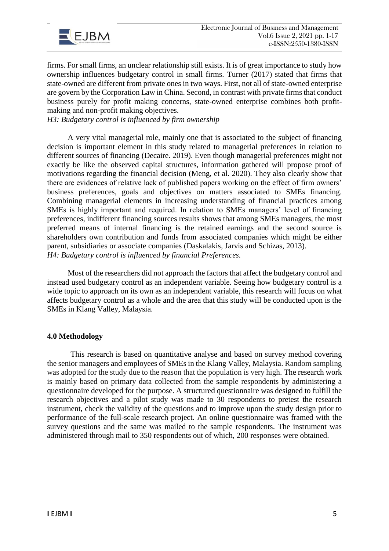

firms. For small firms, an unclear relationship still exists. It is of great importance to study how ownership influences budgetary control in small firms. Turner (2017) stated that firms that state-owned are different from private ones in two ways. First, not all of state-owned enterprise are govern by the Corporation Law in China. Second, in contrast with private firms that conduct business purely for profit making concerns, state-owned enterprise combines both profitmaking and non-profit making objectives.

*H3: Budgetary control is influenced by firm ownership*

A very vital managerial role, mainly one that is associated to the subject of financing decision is important element in this study related to managerial preferences in relation to different sources of financing (Decaire. 2019). Even though managerial preferences might not exactly be like the observed capital structures, information gathered will propose proof of motivations regarding the financial decision (Meng, et al. 2020). They also clearly show that there are evidences of relative lack of published papers working on the effect of firm owners' business preferences, goals and objectives on matters associated to SMEs financing. Combining managerial elements in increasing understanding of financial practices among SMEs is highly important and required. In relation to SMEs managers' level of financing preferences, indifferent financing sources results shows that among SMEs managers, the most preferred means of internal financing is the retained earnings and the second source is shareholders own contribution and funds from associated companies which might be either parent, subsidiaries or associate companies (Daskalakis, Jarvis and Schizas, 2013). *H4: Budgetary control is influenced by financial Preferences.*

Most of the researchers did not approach the factors that affect the budgetary control and instead used budgetary control as an independent variable. Seeing how budgetary control is a wide topic to approach on its own as an independent variable, this research will focus on what affects budgetary control as a whole and the area that this study will be conducted upon is the SMEs in Klang Valley, Malaysia.

### **4.0 Methodology**

This research is based on quantitative analyse and based on survey method covering the senior managers and employees of SMEs in the Klang Valley, Malaysia. Random sampling was adopted for the study due to the reason that the population is very high. The research work is mainly based on primary data collected from the sample respondents by administering a questionnaire developed for the purpose. A structured questionnaire was designed to fulfill the research objectives and a pilot study was made to 30 respondents to pretest the research instrument, check the validity of the questions and to improve upon the study design prior to performance of the full-scale research project. An online questionnaire was framed with the survey questions and the same was mailed to the sample respondents. The instrument was administered through mail to 350 respondents out of which, 200 responses were obtained.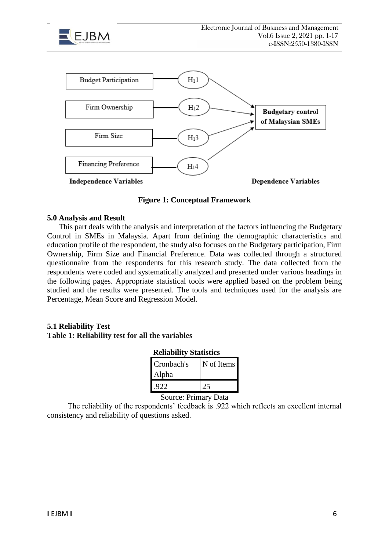



### **Figure 1: Conceptual Framework**

#### **5.0 Analysis and Result**

This part deals with the analysis and interpretation of the factors influencing the Budgetary Control in SMEs in Malaysia. Apart from defining the demographic characteristics and education profile of the respondent, the study also focuses on the Budgetary participation, Firm Ownership, Firm Size and Financial Preference. Data was collected through a structured questionnaire from the respondents for this research study. The data collected from the respondents were coded and systematically analyzed and presented under various headings in the following pages. Appropriate statistical tools were applied based on the problem being studied and the results were presented. The tools and techniques used for the analysis are Percentage, Mean Score and Regression Model.

### **5.1 Reliability Test**

### **Table 1: Reliability test for all the variables**

### **Reliability Statistics**

| Cronbach's | N of Items |
|------------|------------|
| Alpha      |            |
| 922        |            |

Source: Primary Data

The reliability of the respondents' feedback is .922 which reflects an excellent internal consistency and reliability of questions asked.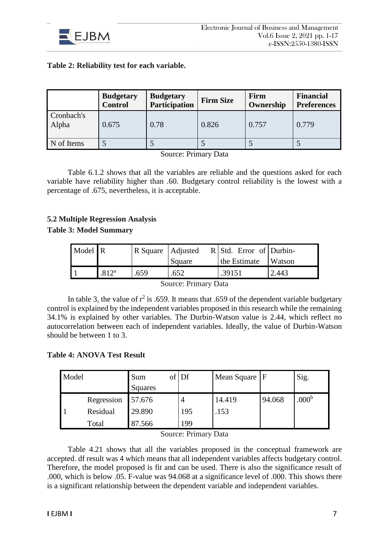

# **Table 2: Reliability test for each variable.**

|                     | <b>Budgetary</b><br><b>Control</b> | <b>Budgetary</b><br><b>Participation</b> | <b>Firm Size</b> | Firm<br>Ownership | <b>Financial</b><br><b>Preferences</b> |
|---------------------|------------------------------------|------------------------------------------|------------------|-------------------|----------------------------------------|
| Cronbach's<br>Alpha | 0.675                              | 0.78                                     | 0.826            | 0.757             | 0.779                                  |
| N of Items          |                                    |                                          |                  |                   |                                        |

Source: Primary Data

Table 6.1.2 shows that all the variables are reliable and the questions asked for each variable have reliability higher than .60. Budgetary control reliability is the lowest with a percentage of .675, nevertheless, it is acceptable.

# **5.2 Multiple Regression Analysis**

### **Table 3: Model Summary**

| Model R |                   | R Square   Adjusted |        | R Std. Error of Durbin- |               |
|---------|-------------------|---------------------|--------|-------------------------|---------------|
|         |                   |                     | Square | the Estimate            | <b>Watson</b> |
|         | .812 <sup>a</sup> | .659                | .652   | .39151                  | 2.443         |

Source: Primary Data

In table 3, the value of  $r^2$  is .659. It means that .659 of the dependent variable budgetary control is explained by the independent variables proposed in this research while the remaining 34.1% is explained by other variables. The Durbin-Watson value is 2.44, which reflect no autocorrelation between each of independent variables. Ideally, the value of Durbin-Watson should be between 1 to 3.

## **Table 4: ANOVA Test Result**

| Model |            | Sum<br>Squares | $of$ Df | Mean Square   F |        | Sig.              |
|-------|------------|----------------|---------|-----------------|--------|-------------------|
|       | Regression | 57.676         |         | 14.419          | 94.068 | .000 <sup>b</sup> |
|       | Residual   | 29.890         | 195     | .153            |        |                   |
|       | Total      | 87.566         | 199     |                 |        |                   |

Source: Primary Data

Table 4.21 shows that all the variables proposed in the conceptual framework are accepted. df result was 4 which means that all independent variables affects budgetary control. Therefore, the model proposed is fit and can be used. There is also the significance result of .000, which is below .05. F-value was 94.068 at a significance level of .000. This shows there is a significant relationship between the dependent variable and independent variables.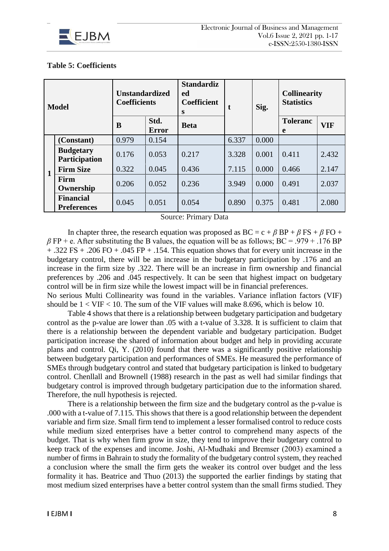

## **Table 5: Coefficients**

| <b>Model</b> |                                        | <b>Unstandardized</b><br><b>Coefficients</b> |                      | <b>Standardiz</b><br>ed<br><b>Coefficient</b><br>S | t     | Sig.  | <b>Collinearity</b><br><b>Statistics</b> |            |
|--------------|----------------------------------------|----------------------------------------------|----------------------|----------------------------------------------------|-------|-------|------------------------------------------|------------|
|              |                                        | B                                            | Std.<br><b>Error</b> | <b>Beta</b>                                        |       |       | <b>Toleranc</b><br>e                     | <b>VIF</b> |
| $\mathbf{1}$ | (Constant)                             | 0.979                                        | 0.154                |                                                    | 6.337 | 0.000 |                                          |            |
|              | <b>Budgetary</b><br>Participation      | 0.176                                        | 0.053                | 0.217                                              | 3.328 | 0.001 | 0.411                                    | 2.432      |
|              | <b>Firm Size</b>                       | 0.322                                        | 0.045                | 0.436                                              | 7.115 | 0.000 | 0.466                                    | 2.147      |
|              | Firm<br>Ownership                      | 0.206                                        | 0.052                | 0.236                                              | 3.949 | 0.000 | 0.491                                    | 2.037      |
|              | <b>Financial</b><br><b>Preferences</b> | 0.045                                        | 0.051                | 0.054                                              | 0.890 | 0.375 | 0.481                                    | 2.080      |

Source: Primary Data

In chapter three, the research equation was proposed as  $BC = c + \beta BP + \beta FS + \beta FO +$  $\beta$  FP + e. After substituting the B values, the equation will be as follows; BC = .979 + .176 BP + .322 FS + .206 FO + .045 FP + .154. This equation shows that for every unit increase in the budgetary control, there will be an increase in the budgetary participation by .176 and an increase in the firm size by .322. There will be an increase in firm ownership and financial preferences by .206 and .045 respectively. It can be seen that highest impact on budgetary control will be in firm size while the lowest impact will be in financial preferences. No serious Multi Collinearity was found in the variables. Variance inflation factors (VIF)

should be  $1 < VIF < 10$ . The sum of the VIF values will make 8.696, which is below 10. Table 4 shows that there is a relationship between budgetary participation and budgetary control as the p-value are lower than .05 with a t-value of 3.328. It is sufficient to claim that there is a relationship between the dependent variable and budgetary participation. Budget participation increase the shared of information about budget and help in providing accurate plans and control. Qi, Y. (2010) found that there was a significantly positive relationship between budgetary participation and performances of SMEs. He measured the performance of SMEs through budgetary control and stated that budgetary participation is linked to budgetary control. Chenllall and Brownell (1988) research in the past as well had similar findings that budgetary control is improved through budgetary participation due to the information shared. Therefore, the null hypothesis is rejected.

There is a relationship between the firm size and the budgetary control as the p-value is .000 with a t-value of 7.115. This shows that there is a good relationship between the dependent variable and firm size. Small firm tend to implement a lesser formalised control to reduce costs while medium sized enterprises have a better control to comprehend many aspects of the budget. That is why when firm grow in size, they tend to improve their budgetary control to keep track of the expenses and income. Joshi, Al-Mudhaki and Bremser (2003) examined a number of firms in Bahrain to study the formality of the budgetary control system, they reached a conclusion where the small the firm gets the weaker its control over budget and the less formality it has. Beatrice and Thuo (2013) the supported the earlier findings by stating that most medium sized enterprises have a better control system than the small firms studied. They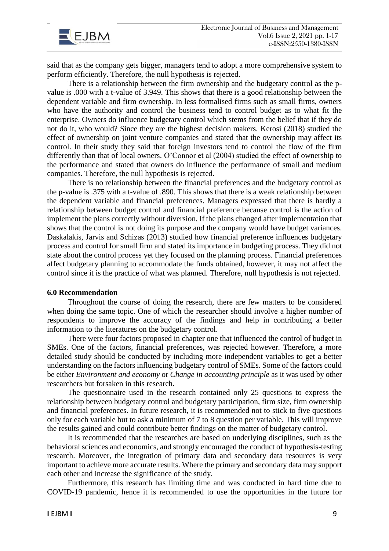

said that as the company gets bigger, managers tend to adopt a more comprehensive system to perform efficiently. Therefore, the null hypothesis is rejected.

There is a relationship between the firm ownership and the budgetary control as the pvalue is .000 with a t-value of 3.949. This shows that there is a good relationship between the dependent variable and firm ownership. In less formalised firms such as small firms, owners who have the authority and control the business tend to control budget as to what fit the enterprise. Owners do influence budgetary control which stems from the belief that if they do not do it, who would? Since they are the highest decision makers. Kerosi (2018) studied the effect of ownership on joint venture companies and stated that the ownership may affect its control. In their study they said that foreign investors tend to control the flow of the firm differently than that of local owners. O'Connor et al (2004) studied the effect of ownership to the performance and stated that owners do influence the performance of small and medium companies. Therefore, the null hypothesis is rejected.

There is no relationship between the financial preferences and the budgetary control as the p-value is .375 with a t-value of .890. This shows that there is a weak relationship between the dependent variable and financial preferences. Managers expressed that there is hardly a relationship between budget control and financial preference because control is the action of implement the plans correctly without diversion. If the plans changed after implementation that shows that the control is not doing its purpose and the company would have budget variances. Daskalakis, Jarvis and Schizas (2013) studied how financial preference influences budgetary process and control for small firm and stated its importance in budgeting process. They did not state about the control process yet they focused on the planning process. Financial preferences affect budgetary planning to accommodate the funds obtained, however, it may not affect the control since it is the practice of what was planned. Therefore, null hypothesis is not rejected.

#### **6.0 Recommendation**

Throughout the course of doing the research, there are few matters to be considered when doing the same topic. One of which the researcher should involve a higher number of respondents to improve the accuracy of the findings and help in contributing a better information to the literatures on the budgetary control.

There were four factors proposed in chapter one that influenced the control of budget in SMEs. One of the factors, financial preferences, was rejected however. Therefore, a more detailed study should be conducted by including more independent variables to get a better understanding on the factors influencing budgetary control of SMEs. Some of the factors could be either *Environment and economy* or *Change in accounting principle* as it was used by other researchers but forsaken in this research.

The questionnaire used in the research contained only 25 questions to express the relationship between budgetary control and budgetary participation, firm size, firm ownership and financial preferences. In future research, it is recommended not to stick to five questions only for each variable but to ask a minimum of 7 to 8 question per variable. This will improve the results gained and could contribute better findings on the matter of budgetary control.

It is recommended that the researches are based on underlying disciplines, such as the behavioral sciences and economics, and strongly encouraged the conduct of hypothesis-testing research. Moreover, the integration of primary data and secondary data resources is very important to achieve more accurate results. Where the primary and secondary data may support each other and increase the significance of the study.

Furthermore, this research has limiting time and was conducted in hard time due to COVID-19 pandemic, hence it is recommended to use the opportunities in the future for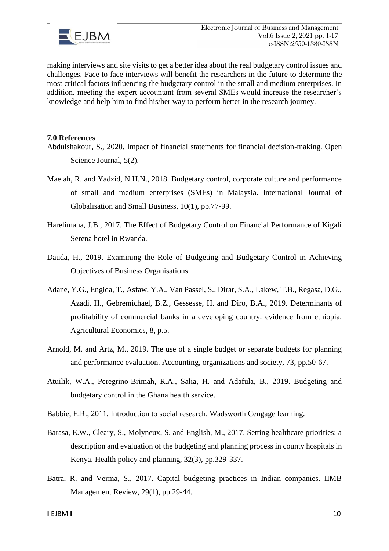

making interviews and site visits to get a better idea about the real budgetary control issues and challenges. Face to face interviews will benefit the researchers in the future to determine the most critical factors influencing the budgetary control in the small and medium enterprises. In addition, meeting the expert accountant from several SMEs would increase the researcher's knowledge and help him to find his/her way to perform better in the research journey.

### **7.0 References**

- Abdulshakour, S., 2020. Impact of financial statements for financial decision-making. Open Science Journal, 5(2).
- Maelah, R. and Yadzid, N.H.N., 2018. Budgetary control, corporate culture and performance of small and medium enterprises (SMEs) in Malaysia. International Journal of Globalisation and Small Business, 10(1), pp.77-99.
- Harelimana, J.B., 2017. The Effect of Budgetary Control on Financial Performance of Kigali Serena hotel in Rwanda.
- Dauda, H., 2019. Examining the Role of Budgeting and Budgetary Control in Achieving Objectives of Business Organisations.
- Adane, Y.G., Engida, T., Asfaw, Y.A., Van Passel, S., Dirar, S.A., Lakew, T.B., Regasa, D.G., Azadi, H., Gebremichael, B.Z., Gessesse, H. and Diro, B.A., 2019. Determinants of profitability of commercial banks in a developing country: evidence from ethiopia. Agricultural Economics, 8, p.5.
- Arnold, M. and Artz, M., 2019. The use of a single budget or separate budgets for planning and performance evaluation. Accounting, organizations and society, 73, pp.50-67.
- Atuilik, W.A., Peregrino-Brimah, R.A., Salia, H. and Adafula, B., 2019. Budgeting and budgetary control in the Ghana health service.
- Babbie, E.R., 2011. Introduction to social research. Wadsworth Cengage learning.
- Barasa, E.W., Cleary, S., Molyneux, S. and English, M., 2017. Setting healthcare priorities: a description and evaluation of the budgeting and planning process in county hospitals in Kenya. Health policy and planning, 32(3), pp.329-337.
- Batra, R. and Verma, S., 2017. Capital budgeting practices in Indian companies. IIMB Management Review, 29(1), pp.29-44.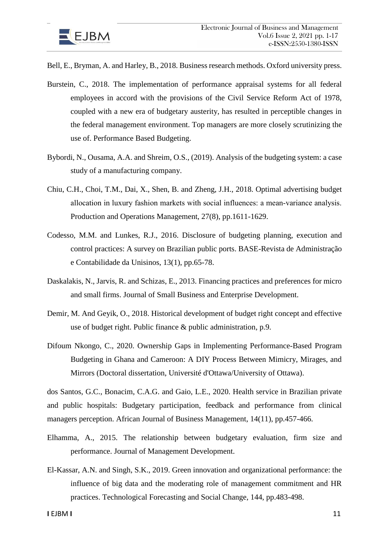

Bell, E., Bryman, A. and Harley, B., 2018. Business research methods. Oxford university press.

- Burstein, C., 2018. The implementation of performance appraisal systems for all federal employees in accord with the provisions of the Civil Service Reform Act of 1978, coupled with a new era of budgetary austerity, has resulted in perceptible changes in the federal management environment. Top managers are more closely scrutinizing the use of. Performance Based Budgeting.
- Bybordi, N., Ousama, A.A. and Shreim, O.S., (2019). Analysis of the budgeting system: a case study of a manufacturing company.
- Chiu, C.H., Choi, T.M., Dai, X., Shen, B. and Zheng, J.H., 2018. Optimal advertising budget allocation in luxury fashion markets with social influences: a mean‐variance analysis. Production and Operations Management, 27(8), pp.1611-1629.
- Codesso, M.M. and Lunkes, R.J., 2016. Disclosure of budgeting planning, execution and control practices: A survey on Brazilian public ports. BASE-Revista de Administração e Contabilidade da Unisinos, 13(1), pp.65-78.
- Daskalakis, N., Jarvis, R. and Schizas, E., 2013. Financing practices and preferences for micro and small firms. Journal of Small Business and Enterprise Development.
- Demir, M. And Geyik, O., 2018. Historical development of budget right concept and effective use of budget right. Public finance & public administration, p.9.
- Difoum Nkongo, C., 2020. Ownership Gaps in Implementing Performance-Based Program Budgeting in Ghana and Cameroon: A DIY Process Between Mimicry, Mirages, and Mirrors (Doctoral dissertation, Université d'Ottawa/University of Ottawa).

dos Santos, G.C., Bonacim, C.A.G. and Gaio, L.E., 2020. Health service in Brazilian private and public hospitals: Budgetary participation, feedback and performance from clinical managers perception. African Journal of Business Management, 14(11), pp.457-466.

- Elhamma, A., 2015. The relationship between budgetary evaluation, firm size and performance. Journal of Management Development.
- El-Kassar, A.N. and Singh, S.K., 2019. Green innovation and organizational performance: the influence of big data and the moderating role of management commitment and HR practices. Technological Forecasting and Social Change, 144, pp.483-498.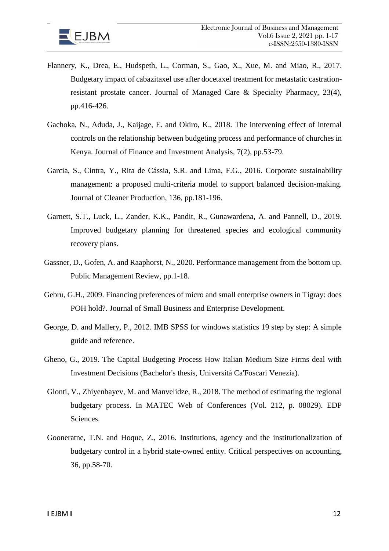

- Flannery, K., Drea, E., Hudspeth, L., Corman, S., Gao, X., Xue, M. and Miao, R., 2017. Budgetary impact of cabazitaxel use after docetaxel treatment for metastatic castrationresistant prostate cancer. Journal of Managed Care & Specialty Pharmacy, 23(4), pp.416-426.
- Gachoka, N., Aduda, J., Kaijage, E. and Okiro, K., 2018. The intervening effect of internal controls on the relationship between budgeting process and performance of churches in Kenya. Journal of Finance and Investment Analysis, 7(2), pp.53-79.
- Garcia, S., Cintra, Y., Rita de Cássia, S.R. and Lima, F.G., 2016. Corporate sustainability management: a proposed multi-criteria model to support balanced decision-making. Journal of Cleaner Production, 136, pp.181-196.
- Garnett, S.T., Luck, L., Zander, K.K., Pandit, R., Gunawardena, A. and Pannell, D., 2019. Improved budgetary planning for threatened species and ecological community recovery plans.
- Gassner, D., Gofen, A. and Raaphorst, N., 2020. Performance management from the bottom up. Public Management Review, pp.1-18.
- Gebru, G.H., 2009. Financing preferences of micro and small enterprise owners in Tigray: does POH hold?. Journal of Small Business and Enterprise Development.
- George, D. and Mallery, P., 2012. IMB SPSS for windows statistics 19 step by step: A simple guide and reference.
- Gheno, G., 2019. The Capital Budgeting Process How Italian Medium Size Firms deal with Investment Decisions (Bachelor's thesis, Università Ca'Foscari Venezia).
- Glonti, V., Zhiyenbayev, M. and Manvelidze, R., 2018. The method of estimating the regional budgetary process. In MATEC Web of Conferences (Vol. 212, p. 08029). EDP Sciences.
- Gooneratne, T.N. and Hoque, Z., 2016. Institutions, agency and the institutionalization of budgetary control in a hybrid state-owned entity. Critical perspectives on accounting, 36, pp.58-70.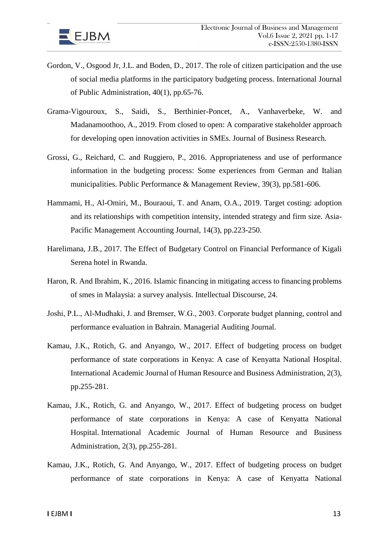

- Gordon, V., Osgood Jr, J.L. and Boden, D., 2017. The role of citizen participation and the use of social media platforms in the participatory budgeting process. International Journal of Public Administration, 40(1), pp.65-76.
- Grama-Vigouroux, S., Saidi, S., Berthinier-Poncet, A., Vanhaverbeke, W. and Madanamoothoo, A., 2019. From closed to open: A comparative stakeholder approach for developing open innovation activities in SMEs. Journal of Business Research.
- Grossi, G., Reichard, C. and Ruggiero, P., 2016. Appropriateness and use of performance information in the budgeting process: Some experiences from German and Italian municipalities. Public Performance & Management Review, 39(3), pp.581-606.
- Hammami, H., Al-Omiri, M., Bouraoui, T. and Anam, O.A., 2019. Target costing: adoption and its relationships with competition intensity, intended strategy and firm size. Asia-Pacific Management Accounting Journal, 14(3), pp.223-250.
- Harelimana, J.B., 2017. The Effect of Budgetary Control on Financial Performance of Kigali Serena hotel in Rwanda.
- Haron, R. And Ibrahim, K., 2016. Islamic financing in mitigating access to financing problems of smes in Malaysia: a survey analysis. Intellectual Discourse, 24.
- Joshi, P.L., Al‐Mudhaki, J. and Bremser, W.G., 2003. Corporate budget planning, control and performance evaluation in Bahrain. Managerial Auditing Journal.
- Kamau, J.K., Rotich, G. and Anyango, W., 2017. Effect of budgeting process on budget performance of state corporations in Kenya: A case of Kenyatta National Hospital. International Academic Journal of Human Resource and Business Administration, 2(3), pp.255-281.
- Kamau, J.K., Rotich, G. and Anyango, W., 2017. Effect of budgeting process on budget performance of state corporations in Kenya: A case of Kenyatta National Hospital. International Academic Journal of Human Resource and Business Administration, 2(3), pp.255-281.
- Kamau, J.K., Rotich, G. And Anyango, W., 2017. Effect of budgeting process on budget performance of state corporations in Kenya: A case of Kenyatta National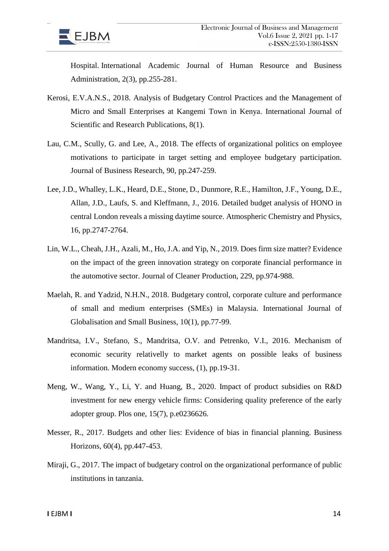

Hospital. International Academic Journal of Human Resource and Business Administration, 2(3), pp.255-281.

- Kerosi, E.V.A.N.S., 2018. Analysis of Budgetary Control Practices and the Management of Micro and Small Enterprises at Kangemi Town in Kenya. International Journal of Scientific and Research Publications, 8(1).
- Lau, C.M., Scully, G. and Lee, A., 2018. The effects of organizational politics on employee motivations to participate in target setting and employee budgetary participation. Journal of Business Research, 90, pp.247-259.
- Lee, J.D., Whalley, L.K., Heard, D.E., Stone, D., Dunmore, R.E., Hamilton, J.F., Young, D.E., Allan, J.D., Laufs, S. and Kleffmann, J., 2016. Detailed budget analysis of HONO in central London reveals a missing daytime source. Atmospheric Chemistry and Physics, 16, pp.2747-2764.
- Lin, W.L., Cheah, J.H., Azali, M., Ho, J.A. and Yip, N., 2019. Does firm size matter? Evidence on the impact of the green innovation strategy on corporate financial performance in the automotive sector. Journal of Cleaner Production, 229, pp.974-988.
- Maelah, R. and Yadzid, N.H.N., 2018. Budgetary control, corporate culture and performance of small and medium enterprises (SMEs) in Malaysia. International Journal of Globalisation and Small Business, 10(1), pp.77-99.
- Mandritsa, I.V., Stefano, S., Mandritsa, O.V. and Petrenko, V.I., 2016. Mechanism of economic security relativelly to market agents on possible leaks of business information. Modern economy success, (1), pp.19-31.
- Meng, W., Wang, Y., Li, Y. and Huang, B., 2020. Impact of product subsidies on R&D investment for new energy vehicle firms: Considering quality preference of the early adopter group. Plos one, 15(7), p.e0236626.
- Messer, R., 2017. Budgets and other lies: Evidence of bias in financial planning. Business Horizons, 60(4), pp.447-453.
- Miraji, G., 2017. The impact of budgetary control on the organizational performance of public institutions in tanzania.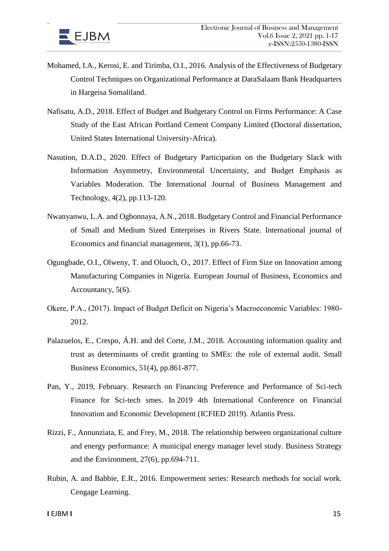

- Mohamed, I.A., Kerosi, E. and Tirimba, O.I., 2016. Analysis of the Effectiveness of Budgetary Control Techniques on Organizational Performance at DaraSalaam Bank Headquarters in Hargeisa Somaliland.
- Nafisatu, A.D., 2018. Effect of Budget and Budgetary Control on Firms Performance: A Case Study of the East African Portland Cement Company Limited (Doctoral dissertation, United States International University-Africa).
- Nasution, D.A.D., 2020. Effect of Budgetary Participation on the Budgetary Slack with Information Asymmetry, Environmental Uncertainty, and Budget Emphasis as Variables Moderation. The International Journal of Business Management and Technology, 4(2), pp.113-120.
- Nwanyanwu, L.A. and Ogbonnaya, A.N., 2018. Budgetary Control and Financial Performance of Small and Medium Sized Enterprises in Rivers State. International journal of Economics and financial management, 3(1), pp.66-73.
- Ogungbade, O.I., Olweny, T. and Oluoch, O., 2017. Effect of Firm Size on Innovation among Manufacturing Companies in Nigeria. European Journal of Business, Economics and Accountancy, 5(6).
- Okere, P.A., (2017). Impact of Budget Deficit on Nigeria's Macroeconomic Variables: 1980- 2012.
- Palazuelos, E., Crespo, Á.H. and del Corte, J.M., 2018. Accounting information quality and trust as determinants of credit granting to SMEs: the role of external audit. Small Business Economics, 51(4), pp.861-877.
- Pan, Y., 2019, February. Research on Financing Preference and Performance of Sci-tech Finance for Sci-tech smes. In 2019 4th International Conference on Financial Innovation and Economic Development (ICFIED 2019). Atlantis Press.
- Rizzi, F., Annunziata, E. and Frey, M., 2018. The relationship between organizational culture and energy performance: A municipal energy manager level study. Business Strategy and the Environment, 27(6), pp.694-711.
- Rubin, A. and Babbie, E.R., 2016. Empowerment series: Research methods for social work. Cengage Learning.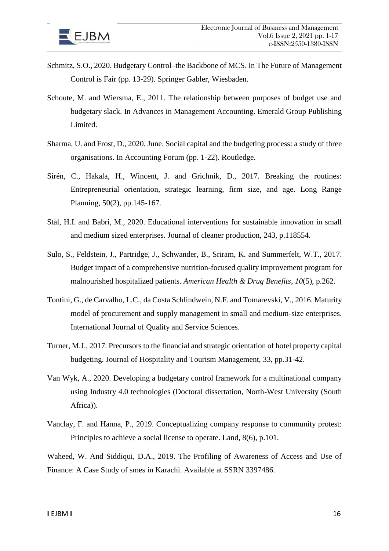

- Schmitz, S.O., 2020. Budgetary Control–the Backbone of MCS. In The Future of Management Control is Fair (pp. 13-29). Springer Gabler, Wiesbaden.
- Schoute, M. and Wiersma, E., 2011. The relationship between purposes of budget use and budgetary slack. In Advances in Management Accounting. Emerald Group Publishing Limited.
- Sharma, U. and Frost, D., 2020, June. Social capital and the budgeting process: a study of three organisations. In Accounting Forum (pp. 1-22). Routledge.
- Sirén, C., Hakala, H., Wincent, J. and Grichnik, D., 2017. Breaking the routines: Entrepreneurial orientation, strategic learning, firm size, and age. Long Range Planning, 50(2), pp.145-167.
- Stål, H.I. and Babri, M., 2020. Educational interventions for sustainable innovation in small and medium sized enterprises. Journal of cleaner production, 243, p.118554.
- Sulo, S., Feldstein, J., Partridge, J., Schwander, B., Sriram, K. and Summerfelt, W.T., 2017. Budget impact of a comprehensive nutrition-focused quality improvement program for malnourished hospitalized patients. *American Health & Drug Benefits*, *10*(5), p.262.
- Tontini, G., de Carvalho, L.C., da Costa Schlindwein, N.F. and Tomarevski, V., 2016. Maturity model of procurement and supply management in small and medium-size enterprises. International Journal of Quality and Service Sciences.
- Turner, M.J., 2017. Precursors to the financial and strategic orientation of hotel property capital budgeting. Journal of Hospitality and Tourism Management, 33, pp.31-42.
- Van Wyk, A., 2020. Developing a budgetary control framework for a multinational company using Industry 4.0 technologies (Doctoral dissertation, North-West University (South Africa)).
- Vanclay, F. and Hanna, P., 2019. Conceptualizing company response to community protest: Principles to achieve a social license to operate. Land, 8(6), p.101.

Waheed, W. And Siddiqui, D.A., 2019. The Profiling of Awareness of Access and Use of Finance: A Case Study of smes in Karachi. Available at SSRN 3397486.